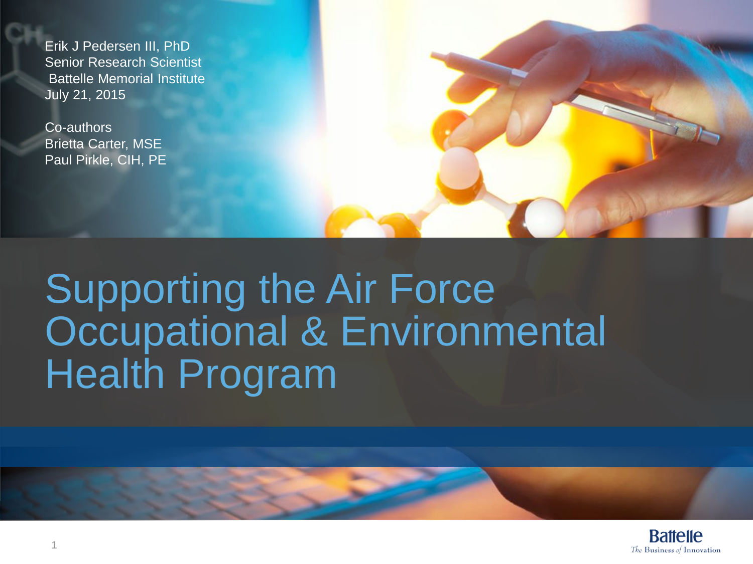Erik J Pedersen III, PhD Senior Research Scientist Battelle Memorial Institute July 21, 2015

Co-authors Brietta Carter, MSE Paul Pirkle, CIH, PE



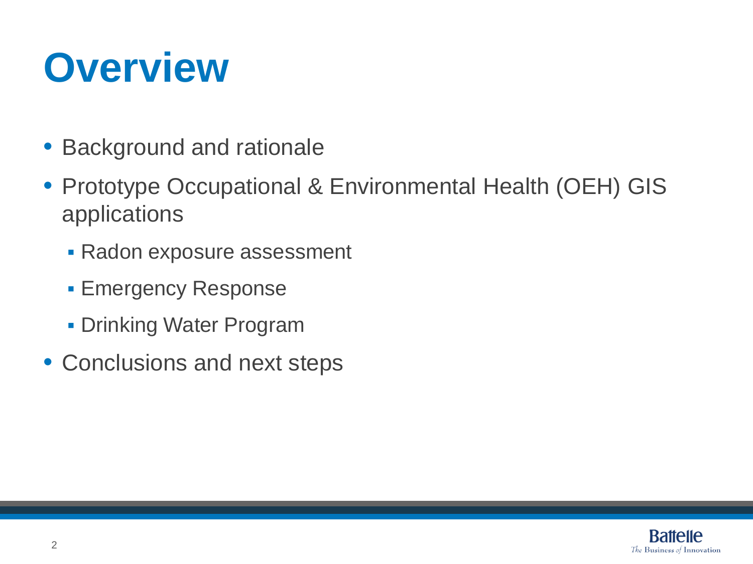## **Overview**

- Background and rationale
- Prototype Occupational & Environmental Health (OEH) GIS applications
	- **Radon exposure assessment**
	- **Emergency Response**
	- **Drinking Water Program**
- Conclusions and next steps

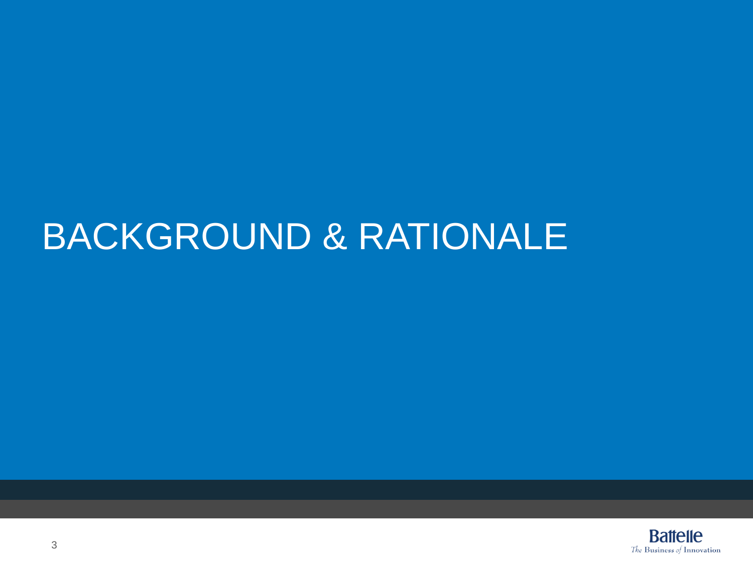### BACKGROUND & RATIONALE

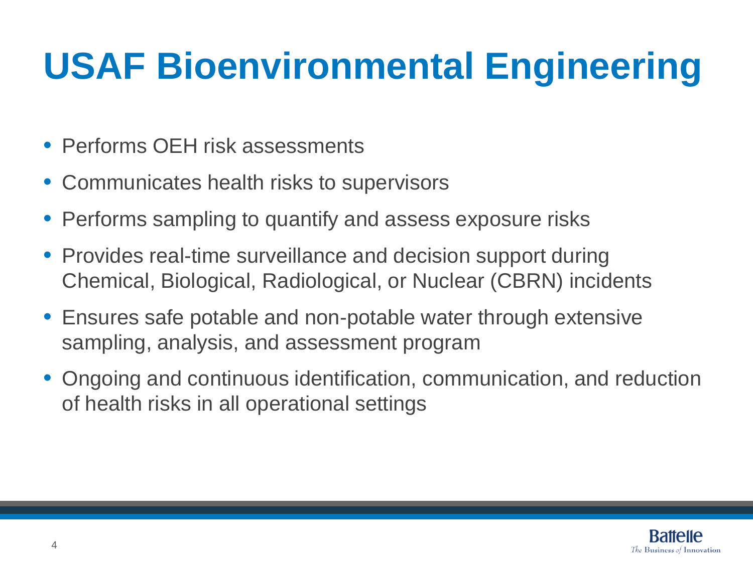## **USAF Bioenvironmental Engineering**

- Performs OFH risk assessments
- Communicates health risks to supervisors
- Performs sampling to quantify and assess exposure risks
- Provides real-time surveillance and decision support during Chemical, Biological, Radiological, or Nuclear (CBRN) incidents
- Ensures safe potable and non-potable water through extensive sampling, analysis, and assessment program
- Ongoing and continuous identification, communication, and reduction of health risks in all operational settings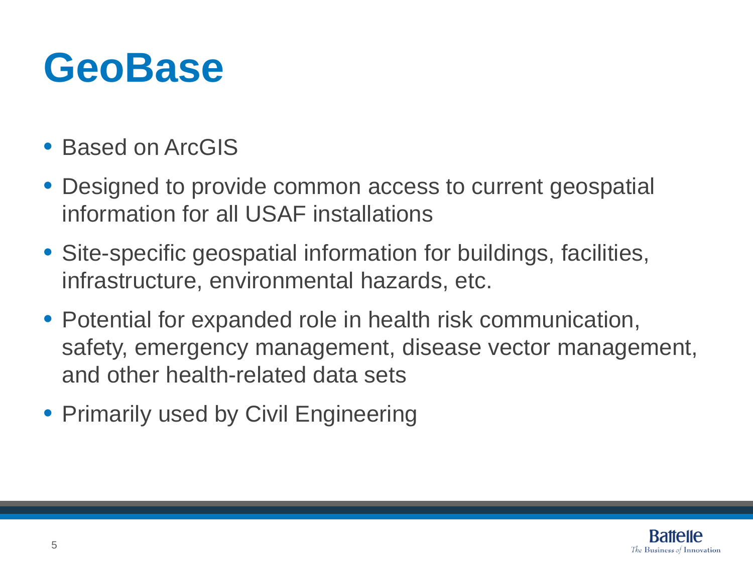## **GeoBase**

- Based on ArcGIS
- Designed to provide common access to current geospatial information for all USAF installations
- Site-specific geospatial information for buildings, facilities, infrastructure, environmental hazards, etc.
- Potential for expanded role in health risk communication, safety, emergency management, disease vector management, and other health-related data sets
- Primarily used by Civil Engineering

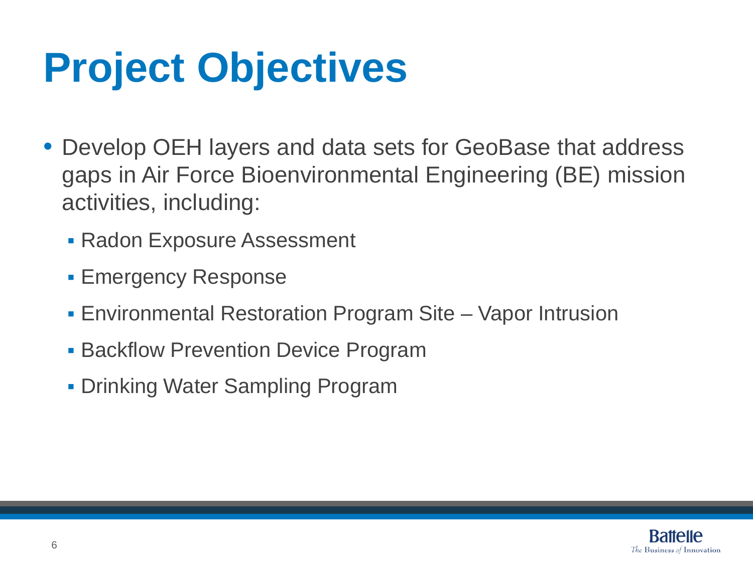## **Project Objectives**

- Develop OEH layers and data sets for GeoBase that address gaps in Air Force Bioenvironmental Engineering (BE) mission activities, including:
	- **Radon Exposure Assessment**
	- **Emergency Response**
	- Environmental Restoration Program Site Vapor Intrusion
	- **Backflow Prevention Device Program**
	- **Drinking Water Sampling Program**

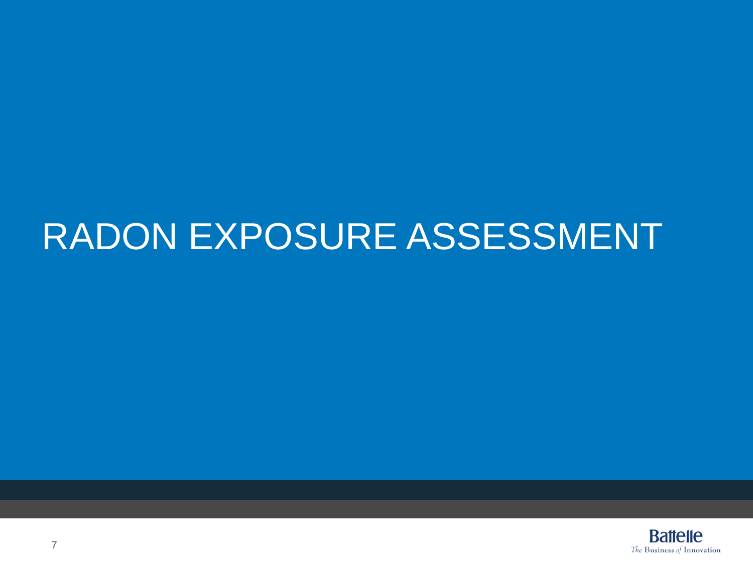### RADON EXPOSURE ASSESSMENT

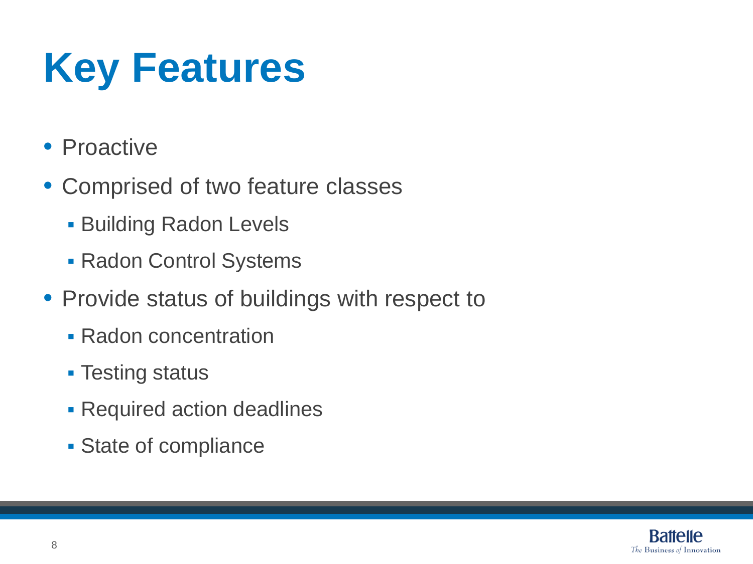# **Key Features**

- Proactive
- Comprised of two feature classes
	- **Building Radon Levels**
	- Radon Control Systems
- Provide status of buildings with respect to
	- **Radon concentration**
	- **Testing status**
	- **Required action deadlines**
	- **State of compliance**

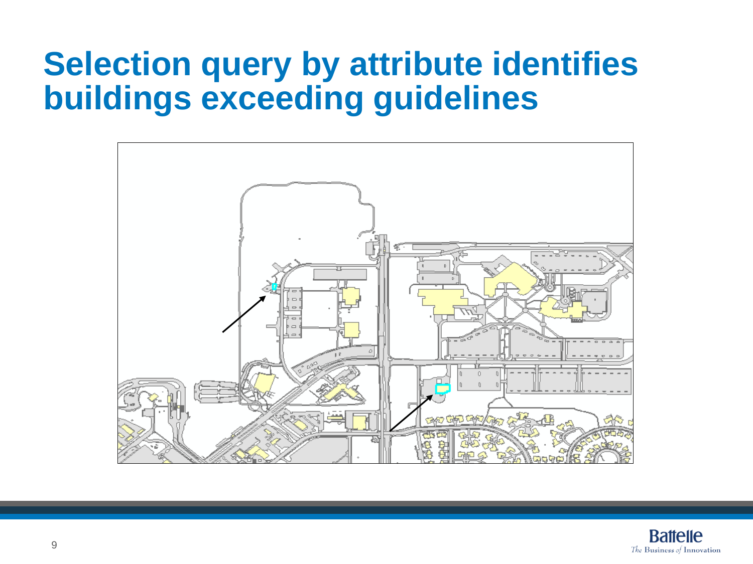### **Selection query by attribute identifies buildings exceeding guidelines**



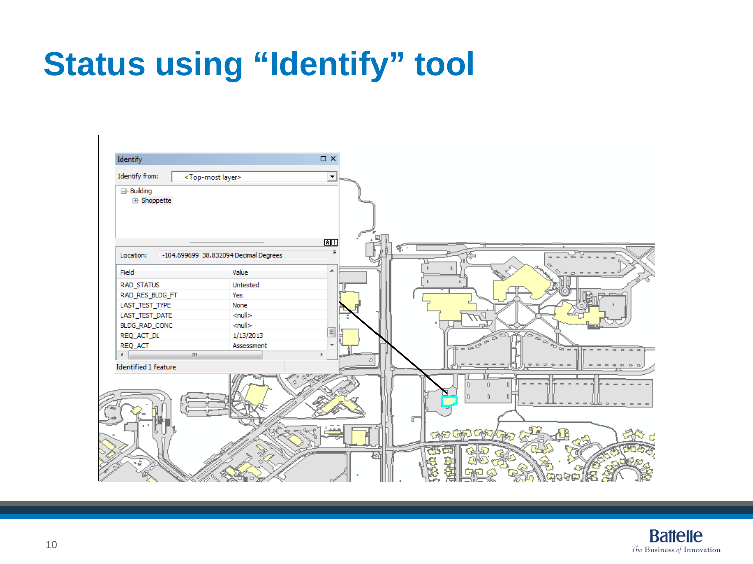### **Status using "Identify" tool**

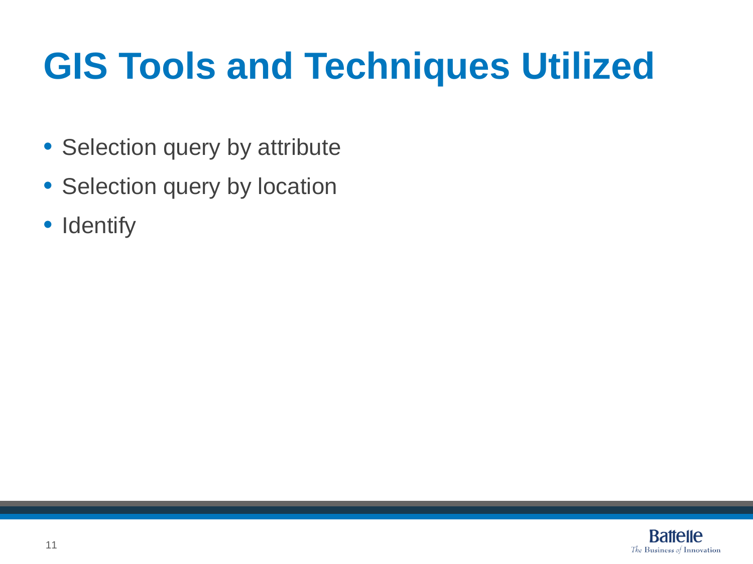## **GIS Tools and Techniques Utilized**

- Selection query by attribute
- Selection query by location
- Identify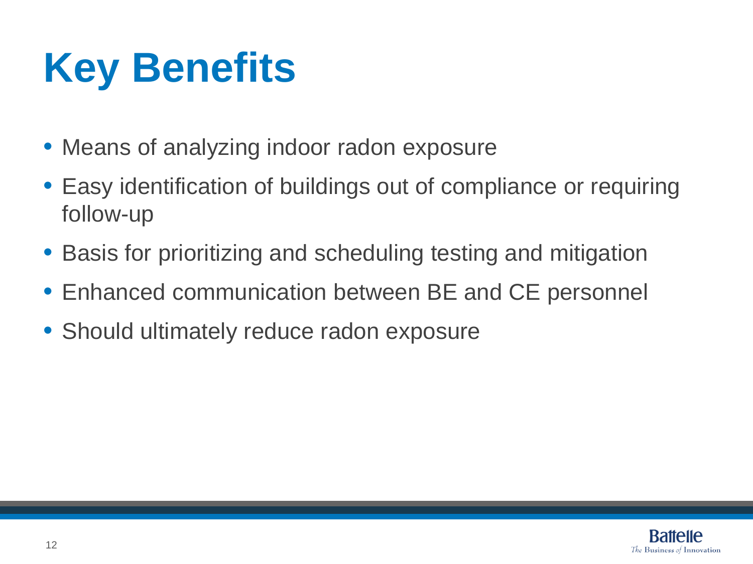## **Key Benefits**

- Means of analyzing indoor radon exposure
- Easy identification of buildings out of compliance or requiring follow-up
- Basis for prioritizing and scheduling testing and mitigation
- Enhanced communication between BE and CE personnel
- Should ultimately reduce radon exposure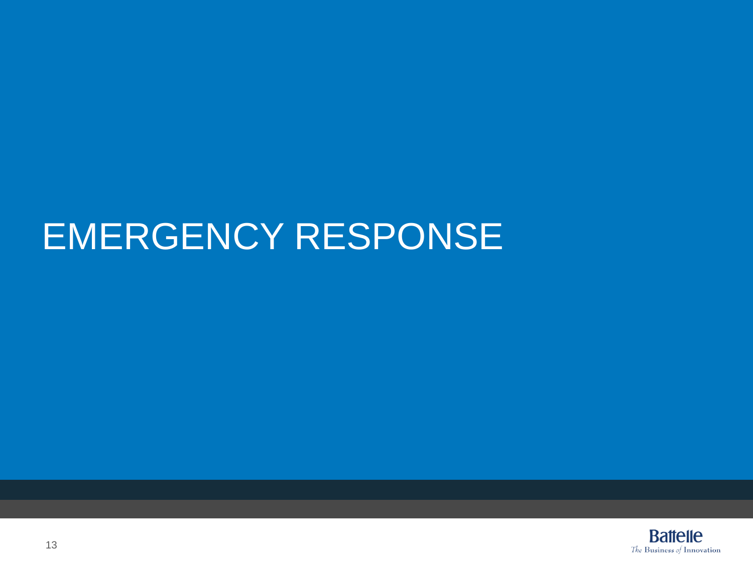### EMERGENCY RESPONSE

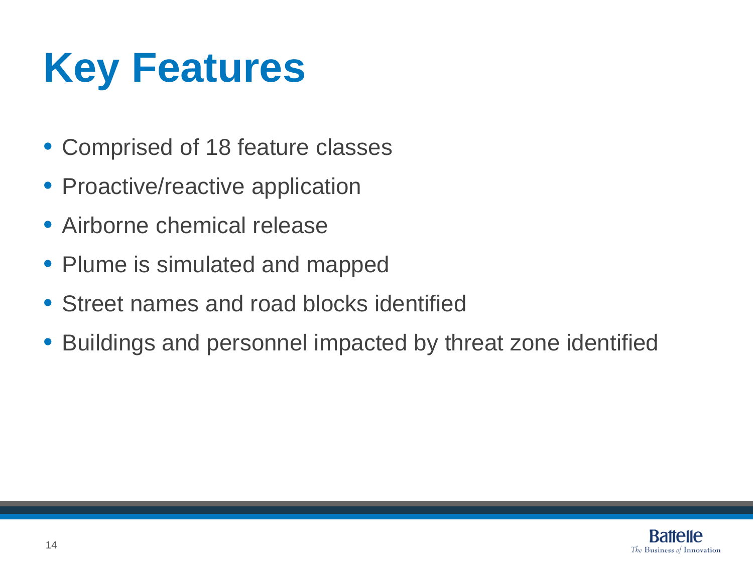## **Key Features**

- Comprised of 18 feature classes
- Proactive/reactive application
- Airborne chemical release
- Plume is simulated and mapped
- Street names and road blocks identified
- Buildings and personnel impacted by threat zone identified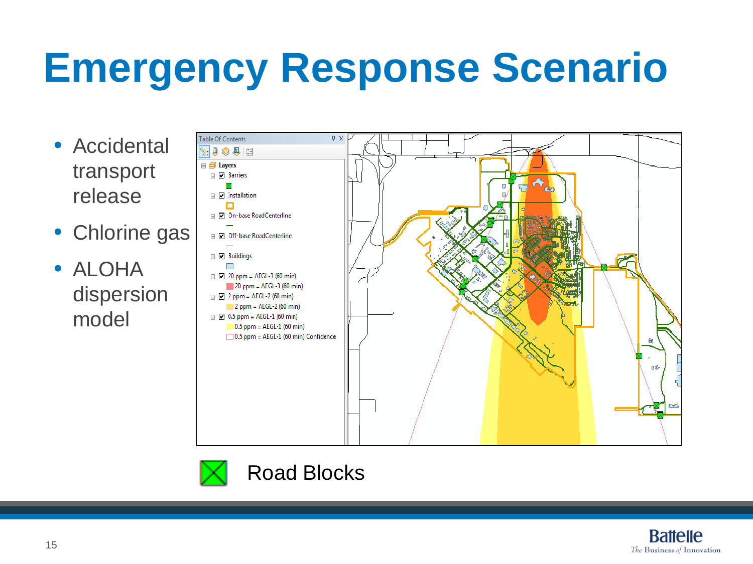## **Emergency Response Scenario**

- Accidental transport release
- Chlorine gas
- ALOHA dispersion model





Road Blocks

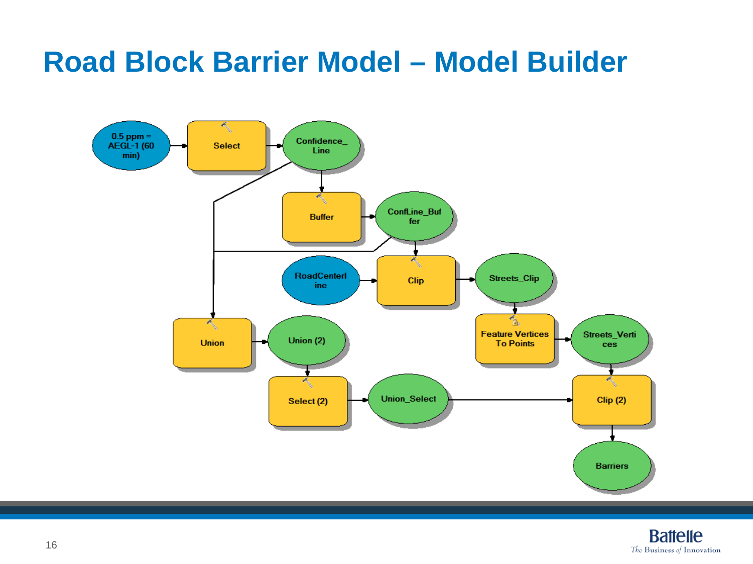#### **Road Block Barrier Model – Model Builder**



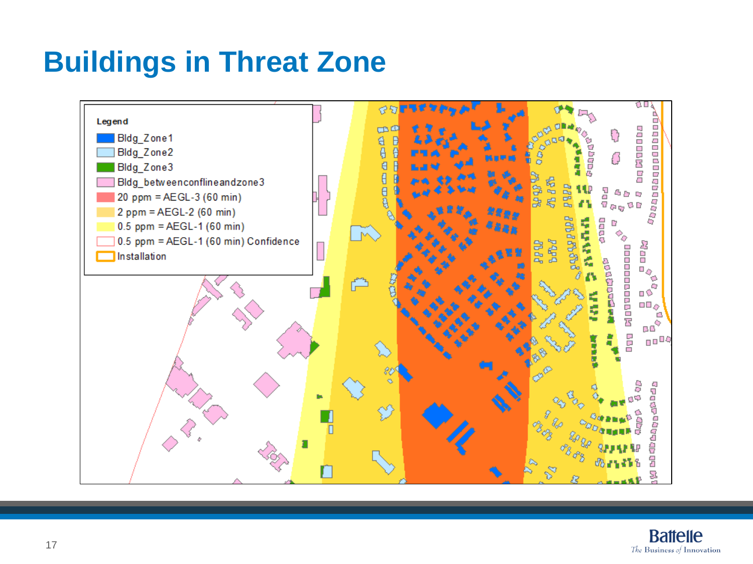#### **Buildings in Threat Zone**



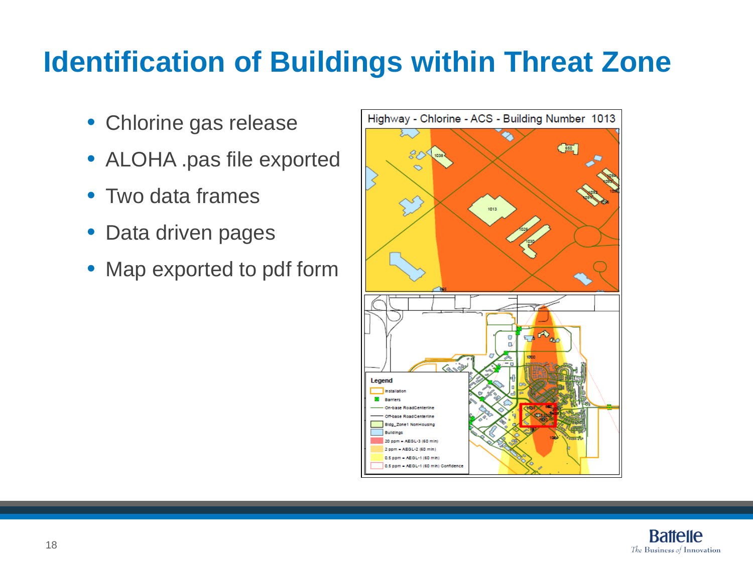#### **Identification of Buildings within Threat Zone**

- Chlorine gas release
- ALOHA .pas file exported
- Two data frames
- Data driven pages
- Map exported to pdf form



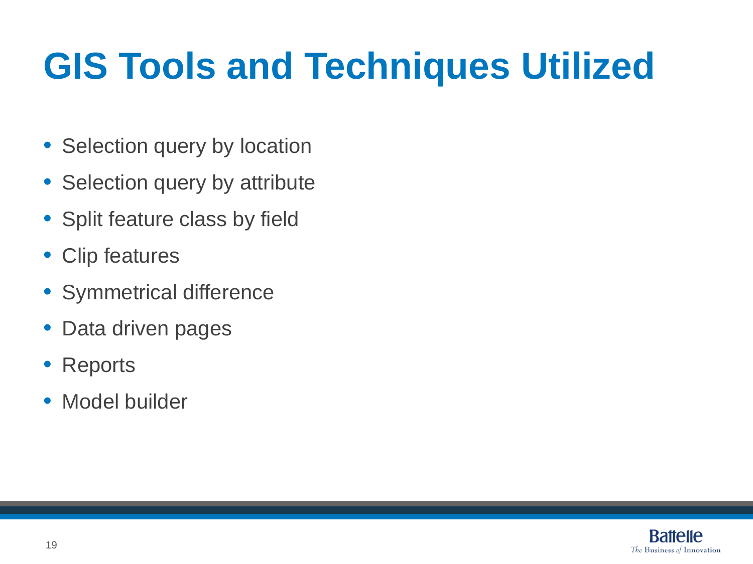## **GIS Tools and Techniques Utilized**

- Selection query by location
- Selection query by attribute
- Split feature class by field
- Clip features
- Symmetrical difference
- Data driven pages
- **Reports**
- Model builder

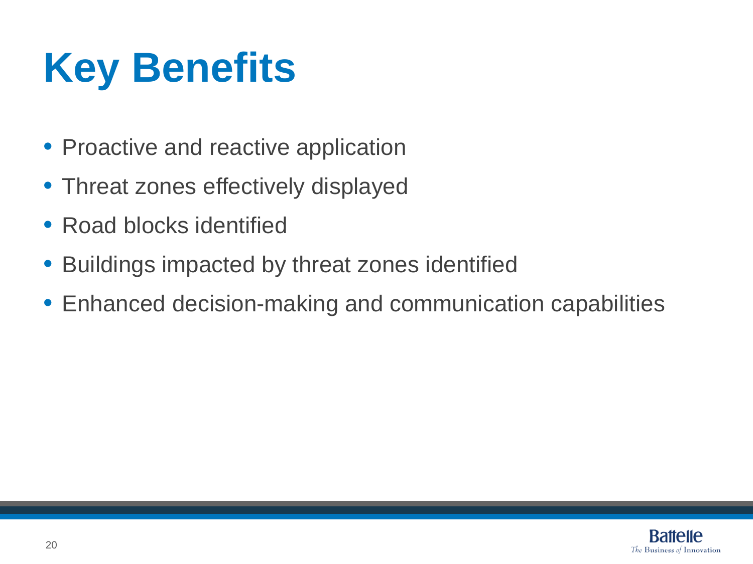# **Key Benefits**

- Proactive and reactive application
- Threat zones effectively displayed
- Road blocks identified
- Buildings impacted by threat zones identified
- Enhanced decision-making and communication capabilities

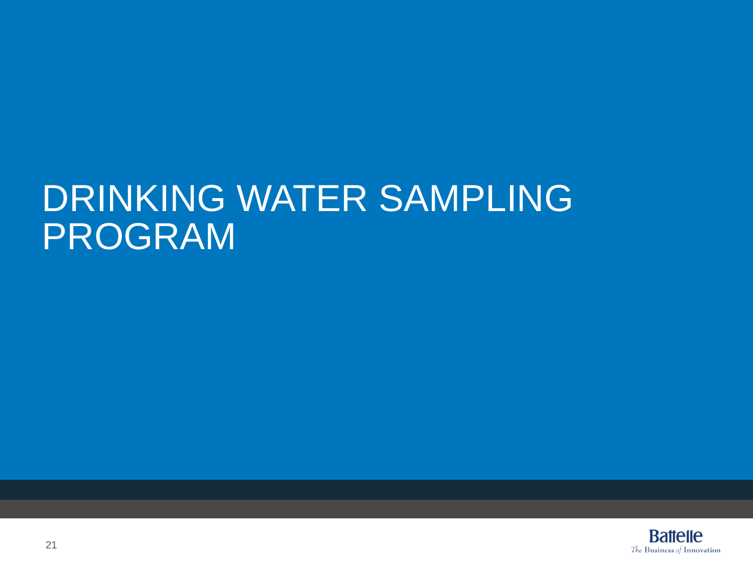### DRINKING WATER SAMPLING PROGRAM

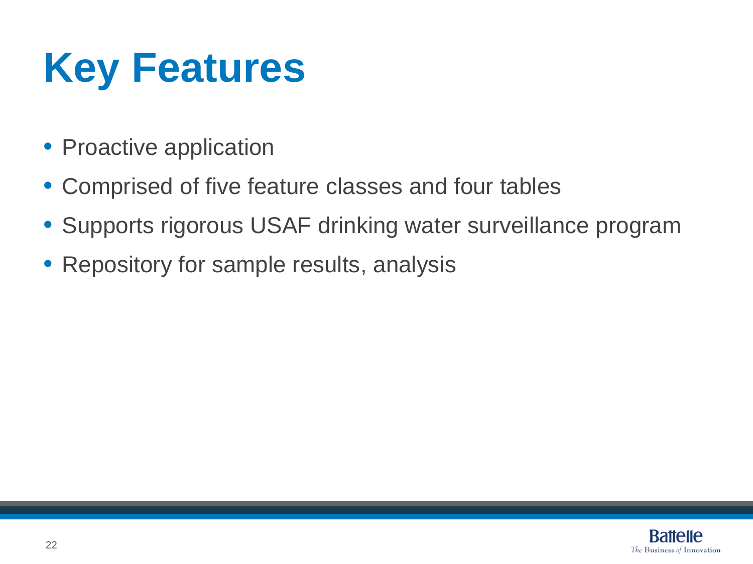## **Key Features**

- Proactive application
- Comprised of five feature classes and four tables
- Supports rigorous USAF drinking water surveillance program
- Repository for sample results, analysis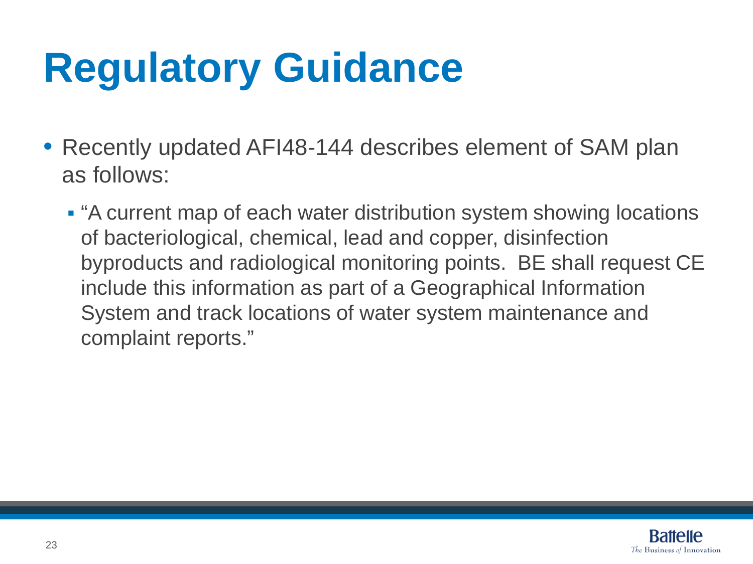## **Regulatory Guidance**

- Recently updated AFI48-144 describes element of SAM plan as follows:
	- "A current map of each water distribution system showing locations of bacteriological, chemical, lead and copper, disinfection byproducts and radiological monitoring points. BE shall request CE include this information as part of a Geographical Information System and track locations of water system maintenance and complaint reports."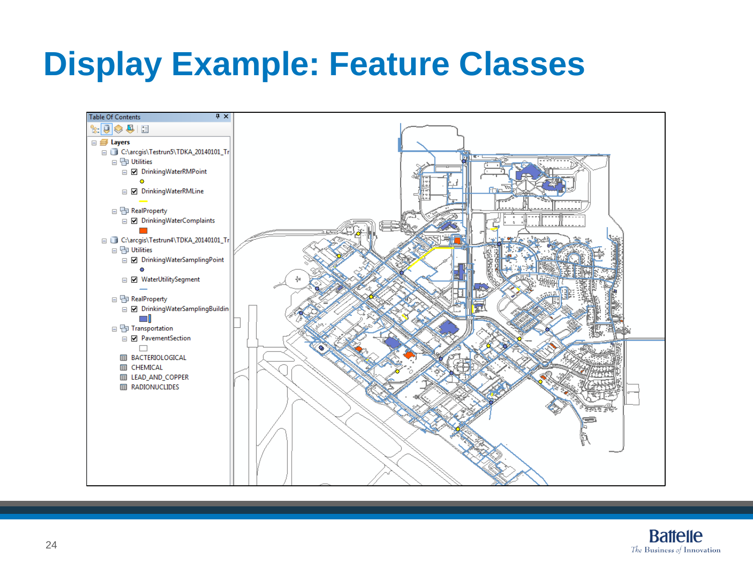### **Display Example: Feature Classes**



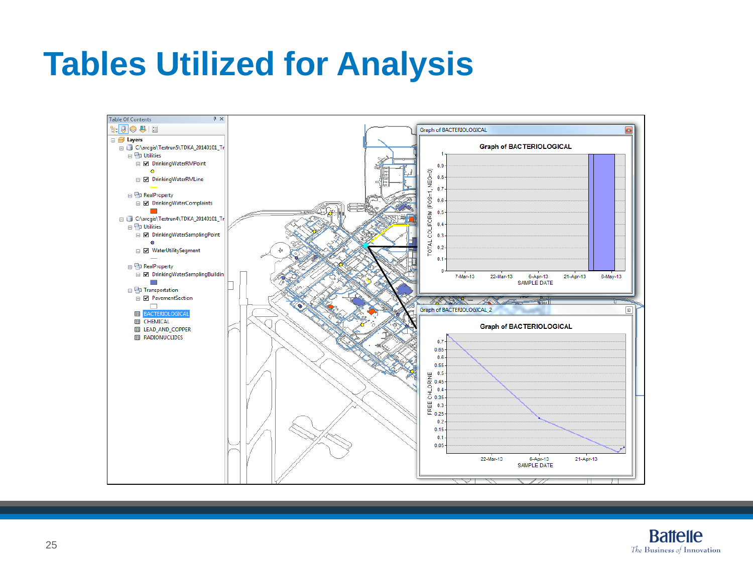### **Tables Utilized for Analysis**

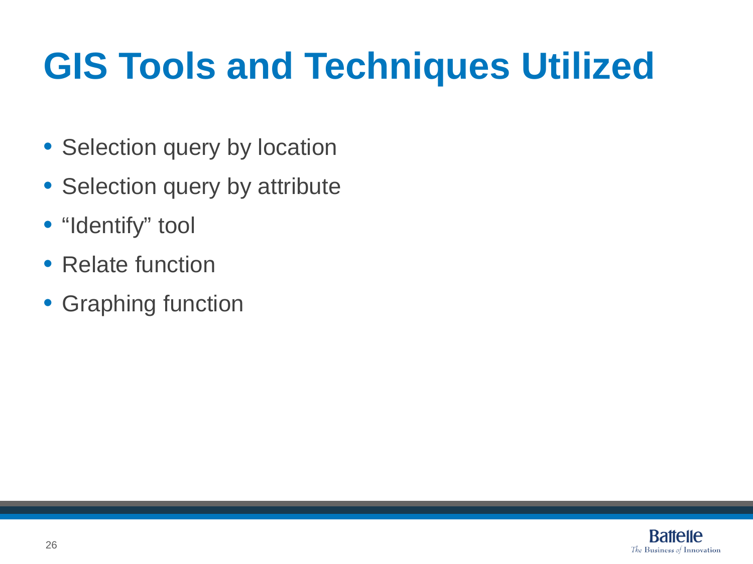## **GIS Tools and Techniques Utilized**

- Selection query by location
- Selection query by attribute
- "Identify" tool
- Relate function
- Graphing function

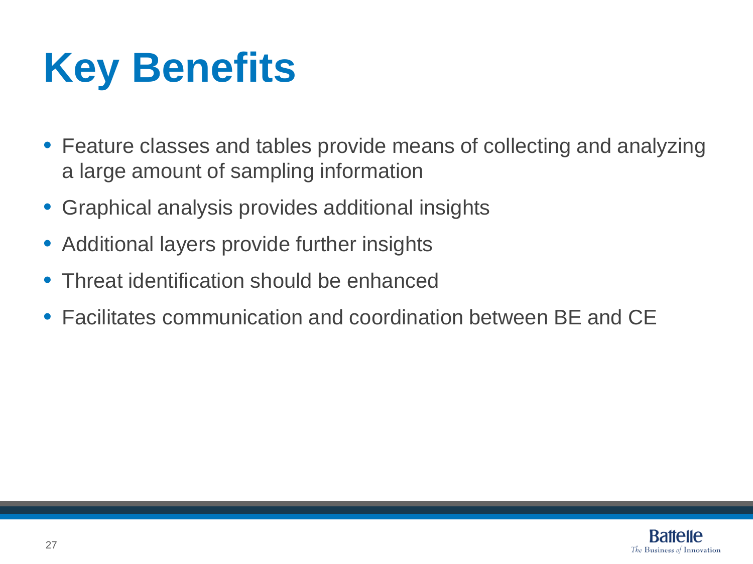## **Key Benefits**

- Feature classes and tables provide means of collecting and analyzing a large amount of sampling information
- Graphical analysis provides additional insights
- Additional layers provide further insights
- Threat identification should be enhanced
- Facilitates communication and coordination between BE and CE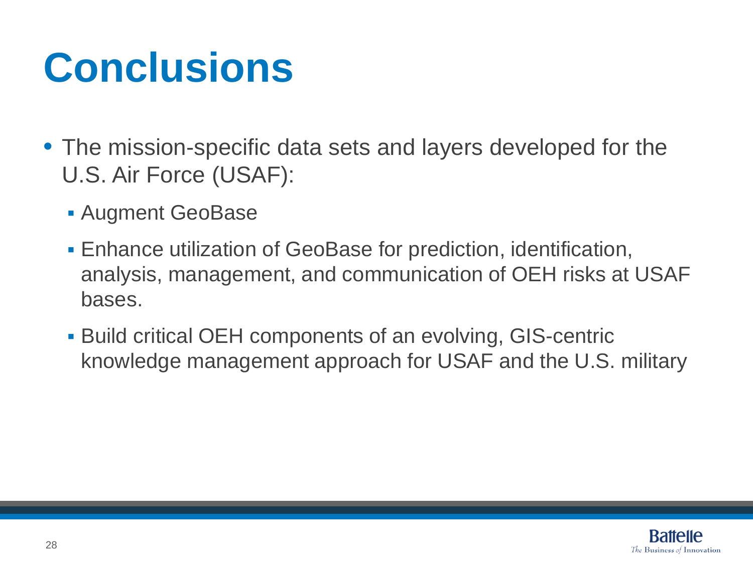## **Conclusions**

- The mission-specific data sets and layers developed for the U.S. Air Force (USAF):
	- Augment GeoBase
	- Enhance utilization of GeoBase for prediction, identification, analysis, management, and communication of OEH risks at USAF bases.
	- Build critical OEH components of an evolving, GIS-centric knowledge management approach for USAF and the U.S. military